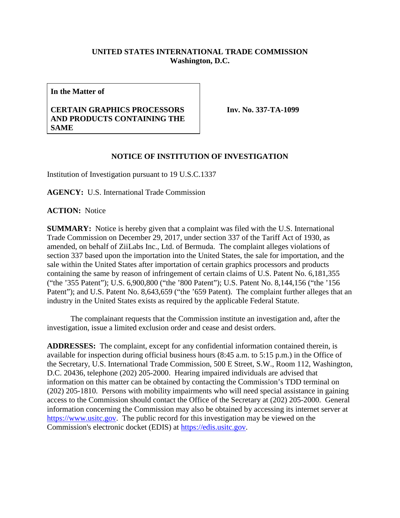## **UNITED STATES INTERNATIONAL TRADE COMMISSION Washington, D.C.**

**In the Matter of**

## **CERTAIN GRAPHICS PROCESSORS AND PRODUCTS CONTAINING THE SAME**

**Inv. No. 337-TA-1099**

## **NOTICE OF INSTITUTION OF INVESTIGATION**

Institution of Investigation pursuant to 19 U.S.C.1337

**AGENCY:** U.S. International Trade Commission

**ACTION:** Notice

**SUMMARY:** Notice is hereby given that a complaint was filed with the U.S. International Trade Commission on December 29, 2017, under section 337 of the Tariff Act of 1930, as amended, on behalf of ZiiLabs Inc., Ltd. of Bermuda. The complaint alleges violations of section 337 based upon the importation into the United States, the sale for importation, and the sale within the United States after importation of certain graphics processors and products containing the same by reason of infringement of certain claims of U.S. Patent No. 6,181,355 ("the '355 Patent"); U.S. 6,900,800 ("the '800 Patent"); U.S. Patent No. 8,144,156 ("the '156 Patent"); and U.S. Patent No. 8,643,659 ("the '659 Patent). The complaint further alleges that an industry in the United States exists as required by the applicable Federal Statute.

The complainant requests that the Commission institute an investigation and, after the investigation, issue a limited exclusion order and cease and desist orders.

**ADDRESSES:** The complaint, except for any confidential information contained therein, is available for inspection during official business hours (8:45 a.m. to 5:15 p.m.) in the Office of the Secretary, U.S. International Trade Commission, 500 E Street, S.W., Room 112, Washington, D.C. 20436, telephone (202) 205-2000. Hearing impaired individuals are advised that information on this matter can be obtained by contacting the Commission's TDD terminal on (202) 205-1810. Persons with mobility impairments who will need special assistance in gaining access to the Commission should contact the Office of the Secretary at (202) 205-2000. General information concerning the Commission may also be obtained by accessing its internet server at [https://www.usitc.gov.](https://www.usitc.gov/) The public record for this investigation may be viewed on the Commission's electronic docket (EDIS) at [https://edis.usitc.gov.](https://edis.usitc.gov/)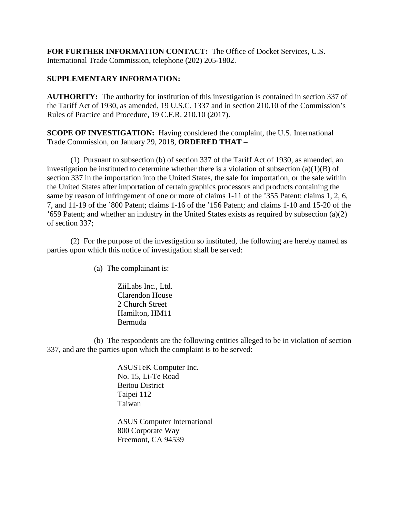**FOR FURTHER INFORMATION CONTACT:** The Office of Docket Services, U.S. International Trade Commission, telephone (202) 205-1802.

## **SUPPLEMENTARY INFORMATION:**

**AUTHORITY:** The authority for institution of this investigation is contained in section 337 of the Tariff Act of 1930, as amended, 19 U.S.C. 1337 and in section 210.10 of the Commission's Rules of Practice and Procedure, 19 C.F.R. 210.10 (2017).

**SCOPE OF INVESTIGATION:** Having considered the complaint, the U.S. International Trade Commission, on January 29, 2018, **ORDERED THAT** –

(1) Pursuant to subsection (b) of section 337 of the Tariff Act of 1930, as amended, an investigation be instituted to determine whether there is a violation of subsection  $(a)(1)(B)$  of section 337 in the importation into the United States, the sale for importation, or the sale within the United States after importation of certain graphics processors and products containing the same by reason of infringement of one or more of claims 1-11 of the '355 Patent; claims 1, 2, 6, 7, and 11-19 of the '800 Patent; claims 1-16 of the '156 Patent; and claims 1-10 and 15-20 of the '659 Patent; and whether an industry in the United States exists as required by subsection (a)(2) of section 337;

(2) For the purpose of the investigation so instituted, the following are hereby named as parties upon which this notice of investigation shall be served:

(a) The complainant is:

ZiiLabs Inc., Ltd. Clarendon House 2 Church Street Hamilton, HM11 Bermuda

(b) The respondents are the following entities alleged to be in violation of section 337, and are the parties upon which the complaint is to be served:

> ASUSTeK Computer Inc. No. 15, Li-Te Road Beitou District Taipei 112 Taiwan

ASUS Computer International 800 Corporate Way Freemont, CA 94539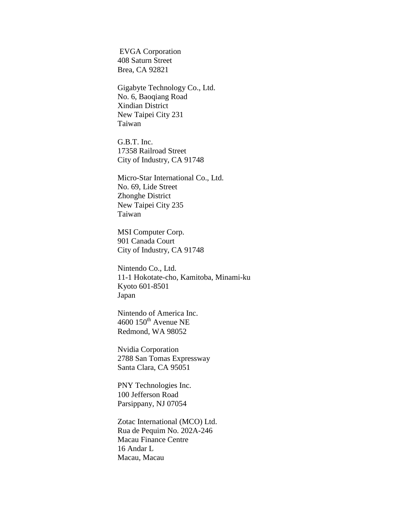EVGA Corporation 408 Saturn Street Brea, CA 92821

Gigabyte Technology Co., Ltd. No. 6, Baoqiang Road Xindian District New Taipei City 231 Taiwan

G.B.T. Inc. 17358 Railroad Street City of Industry, CA 91748

Micro-Star International Co., Ltd. No. 69, Lide Street Zhonghe District New Taipei City 235 Taiwan

MSI Computer Corp. 901 Canada Court City of Industry, CA 91748

Nintendo Co., Ltd. 11-1 Hokotate-cho, Kamitoba, Minami-ku Kyoto 601-8501 Japan

Nintendo of America Inc.  $4600$   $150$ <sup>th</sup> Avenue NE Redmond, WA 98052

Nvidia Corporation 2788 San Tomas Expressway Santa Clara, CA 95051

PNY Technologies Inc. 100 Jefferson Road Parsippany, NJ 07054

Zotac International (MCO) Ltd. Rua de Pequim No. 202A-246 Macau Finance Centre 16 Andar L Macau, Macau